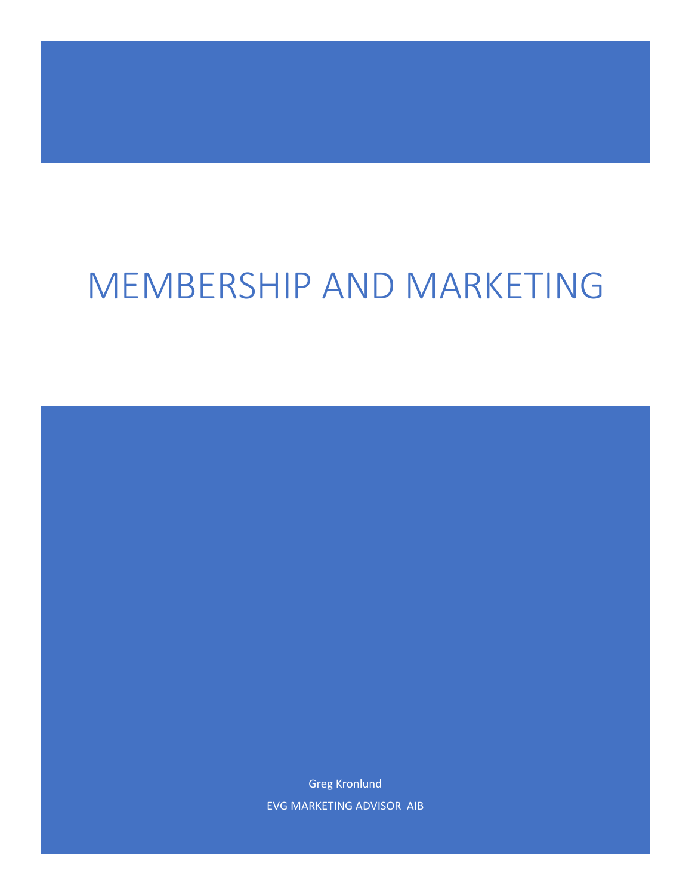# MEMBERSHIP AND MARKETING

Greg Kronlund EVG MARKETING ADVISOR AIB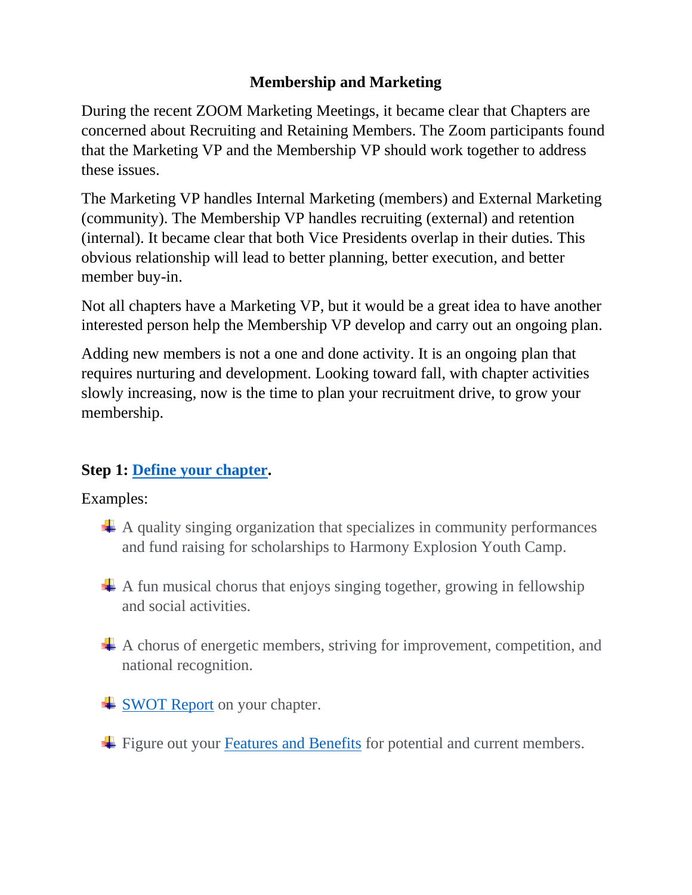# **Membership and Marketing**

During the recent ZOOM Marketing Meetings, it became clear that Chapters are concerned about Recruiting and Retaining Members. The Zoom participants found that the Marketing VP and the Membership VP should work together to address these issues.

The Marketing VP handles Internal Marketing (members) and External Marketing (community). The Membership VP handles recruiting (external) and retention (internal). It became clear that both Vice Presidents overlap in their duties. This obvious relationship will lead to better planning, better execution, and better member buy-in.

Not all chapters have a Marketing VP, but it would be a great idea to have another interested person help the Membership VP develop and carry out an ongoing plan.

Adding new members is not a one and done activity. It is an ongoing plan that requires nurturing and development. Looking toward fall, with chapter activities slowly increasing, now is the time to plan your recruitment drive, to grow your membership.

# **Step 1: [Define your chapter.](https://evgdistrict.com/wp-content/uploads/2022/02/Feburary-Blended-Articles.pdf)**

Examples:

- $\overline{\mathbf{A}}$  A quality singing organization that specializes in community performances and fund raising for scholarships to Harmony Explosion Youth Camp.
- $\perp$  A fun musical chorus that enjoys singing together, growing in fellowship and social activities.
- $\overline{\textbf{A}}$  A chorus of energetic members, striving for improvement, competition, and national recognition.
- **↓ [SWOT Report](https://evgdistrict.com/wp-content/uploads/2022/04/March-Blended-Articles.pdf) on your chapter.**
- Figure out your [Features and Benefits](https://evgdistrict.com/wp-content/uploads/2022/05/Features-and-Benefits-Worksheet.pdf) for potential and current members.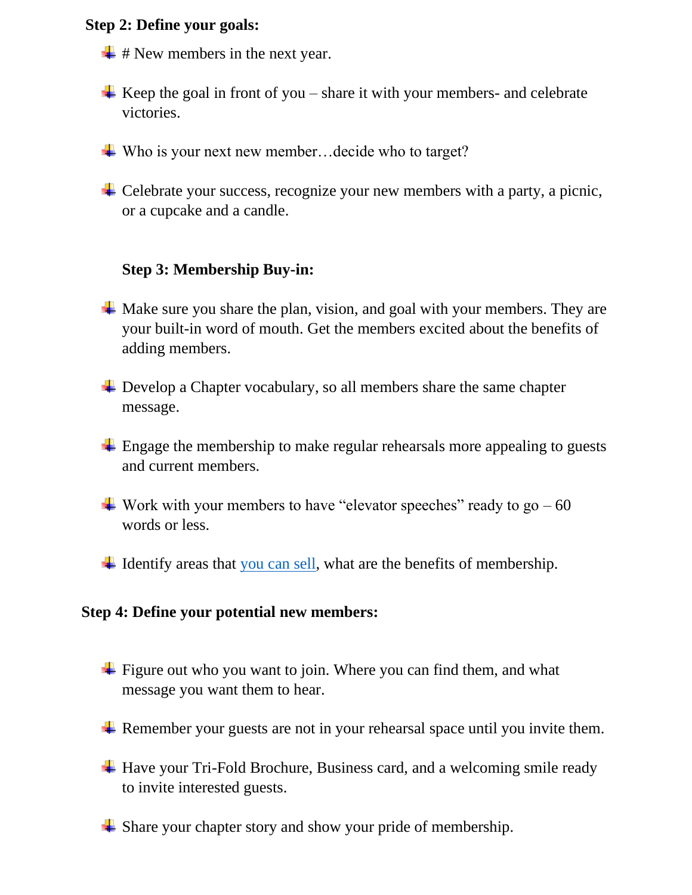#### **Step 2: Define your goals:**

- $\div$  # New members in the next year.
- $\overline{\phantom{a}}$  Keep the goal in front of you share it with your members- and celebrate victories.
- $\downarrow$  Who is your next new member... decide who to target?
- $\overline{\phantom{a}}$  Celebrate your success, recognize your new members with a party, a picnic, or a cupcake and a candle.

# **Step 3: Membership Buy-in:**

- $\overline{\phantom{a}}$  Make sure you share the plan, vision, and goal with your members. They are your built-in word of mouth. Get the members excited about the benefits of adding members.
- $\overline{\phantom{a}}$  Develop a Chapter vocabulary, so all members share the same chapter message.
- $\pm$  Engage the membership to make regular rehearsals more appealing to guests and current members.
- $\ddot{\bullet}$  Work with your members to have "elevator speeches" ready to go 60 words or less.
- $\downarrow$  Identify areas that [you can sell,](https://evgdistrict.com/wp-content/uploads/2022/05/Selling-Your-Chapter-Ideas.pdf) what are the benefits of membership.

#### **Step 4: Define your potential new members:**

- $\overline{\phantom{a} \bullet}$  Figure out who you want to join. Where you can find them, and what message you want them to hear.
- Remember your guests are not in your rehearsal space until you invite them.
- <sup> $\pm$ </sup> Have your Tri-Fold Brochure, Business card, and a welcoming smile ready to invite interested guests.
- $\overline{\phantom{a}}$  Share your chapter story and show your pride of membership.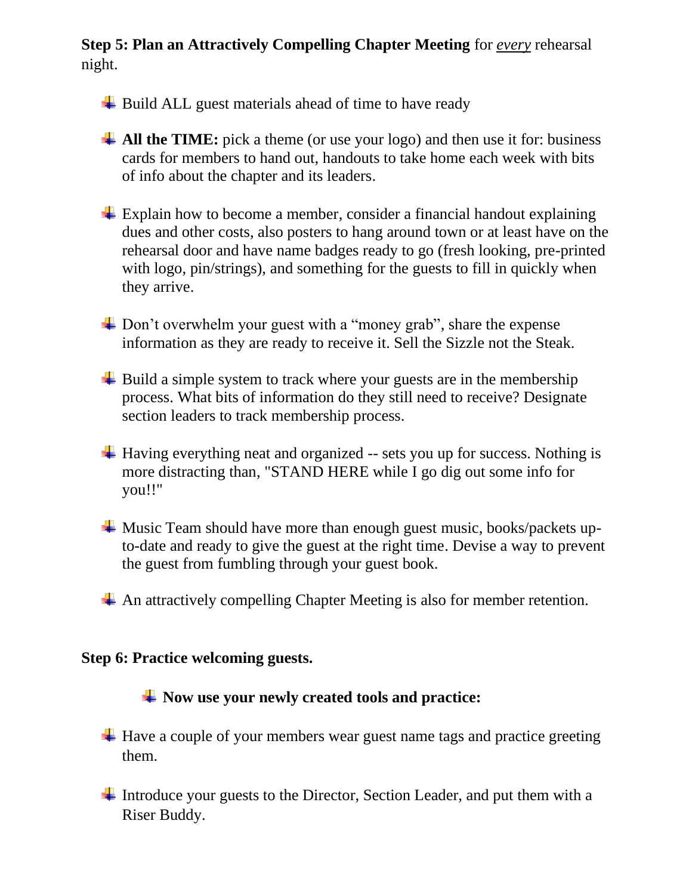# **Step 5: Plan an Attractively Compelling Chapter Meeting** for *every* rehearsal night.

- $\overline{\phantom{a}}$  Build ALL guest materials ahead of time to have ready
- **All the TIME:** pick a theme (or use your logo) and then use it for: business cards for members to hand out, handouts to take home each week with bits of info about the chapter and its leaders.
- $\pm$  Explain how to become a member, consider a financial handout explaining dues and other costs, also posters to hang around town or at least have on the rehearsal door and have name badges ready to go (fresh looking, pre-printed with logo, pin/strings), and something for the guests to fill in quickly when they arrive.
- $\perp$  Don't overwhelm your guest with a "money grab", share the expense information as they are ready to receive it. Sell the Sizzle not the Steak.
- $\overline{\phantom{a}}$  Build a simple system to track where your guests are in the membership process. What bits of information do they still need to receive? Designate section leaders to track membership process.
- $\overline{\phantom{a}}$  Having everything neat and organized -- sets you up for success. Nothing is more distracting than, "STAND HERE while I go dig out some info for you!!"
- $\overline{\phantom{a} \bullet}$  Music Team should have more than enough guest music, books/packets upto-date and ready to give the guest at the right time. Devise a way to prevent the guest from fumbling through your guest book.
- $\overline{\mathbf{A}}$  An attractively compelling Chapter Meeting is also for member retention.

## **Step 6: Practice welcoming guests.**

## **Now use your newly created tools and practice:**

- $\overline{\text{H}}$  Have a couple of your members wear guest name tags and practice greeting them.
- Introduce your guests to the Director, Section Leader, and put them with a Riser Buddy.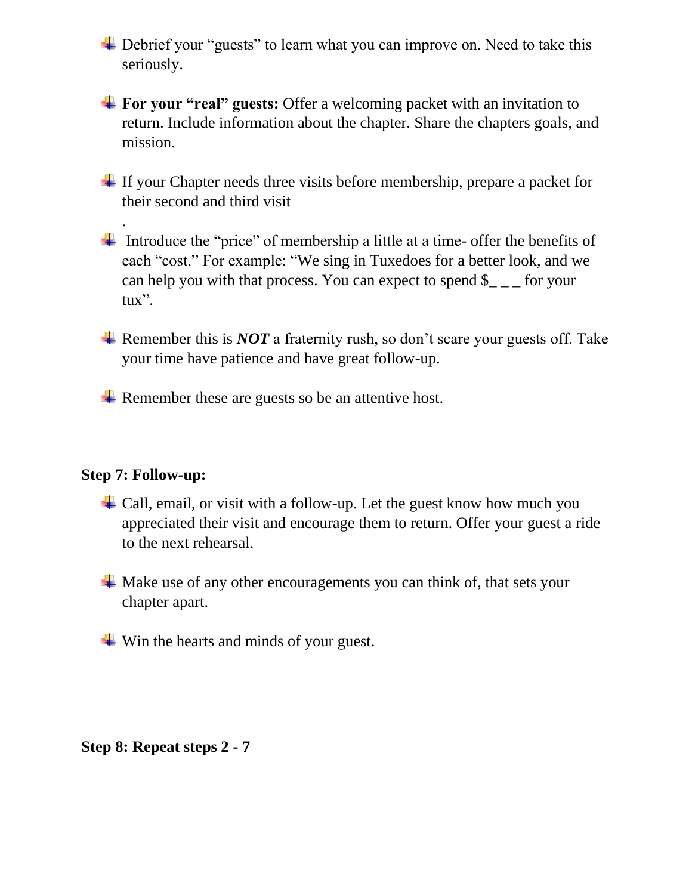$\overline{\mathbf{I}}$  Debrief your "guests" to learn what you can improve on. Need to take this seriously.

**For your "real" guests:** Offer a welcoming packet with an invitation to return. Include information about the chapter. Share the chapters goals, and mission.

 $\pm$  If your Chapter needs three visits before membership, prepare a packet for their second and third visit

Introduce the "price" of membership a little at a time- offer the benefits of each "cost." For example: "We sing in Tuxedoes for a better look, and we can help you with that process. You can expect to spend  $\frac{1}{2}$  – for your tux".

**Example 1.** Remember this is *NOT* a fraternity rush, so don't scare your guests off. Take your time have patience and have great follow-up.

 $\overline{\text{L}}$  Remember these are guests so be an attentive host.

## **Step 7: Follow-up:**

.

- $\triangleq$  Call, email, or visit with a follow-up. Let the guest know how much you appreciated their visit and encourage them to return. Offer your guest a ride to the next rehearsal.
- $\overline{\mathbf{A}}$  Make use of any other encouragements you can think of, that sets your chapter apart.
- $\frac{1}{\sqrt{2}}$  Win the hearts and minds of your guest.

**Step 8: Repeat steps 2 - 7**